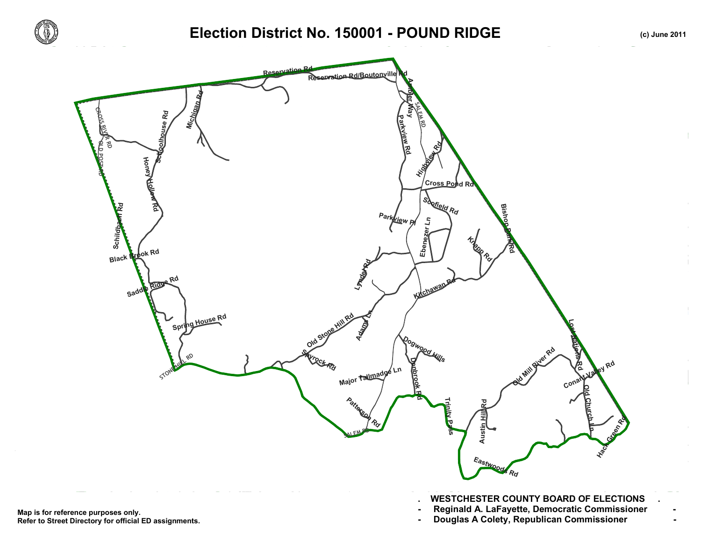

## **Election District No. 150001 - POUND RIDGE (c) June 2011**



**Refer to Street Directory for official ED assignments.**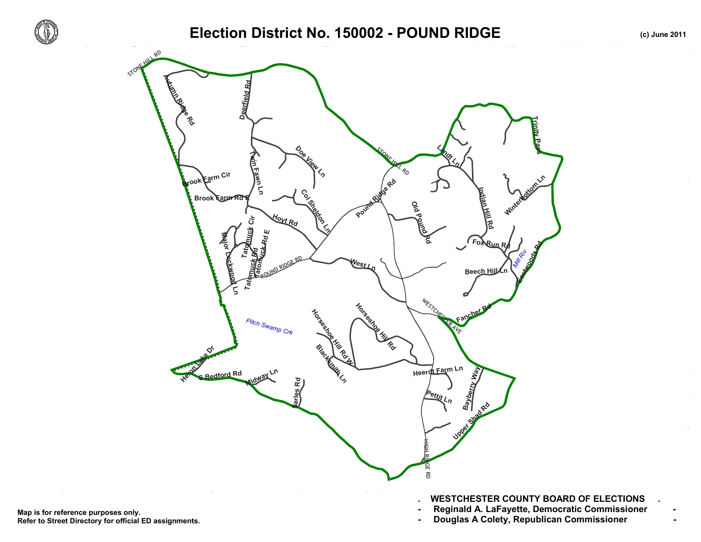

 $\pm$  $\mathbf{L}$ 

## Election District No. 150002 - POUND RIDGE **(c)** June 2011



Map is for reference purposes only. Reginald A. LaFayette, Democratic Commissioner<br>Refer to Street Directory for official ED assignments. Douglas A Colety, Republican Com **Refer to Street Directory for official ED assignments.**

**. WESTCHESTER COUNTY BOARD OF ELECTIONS .**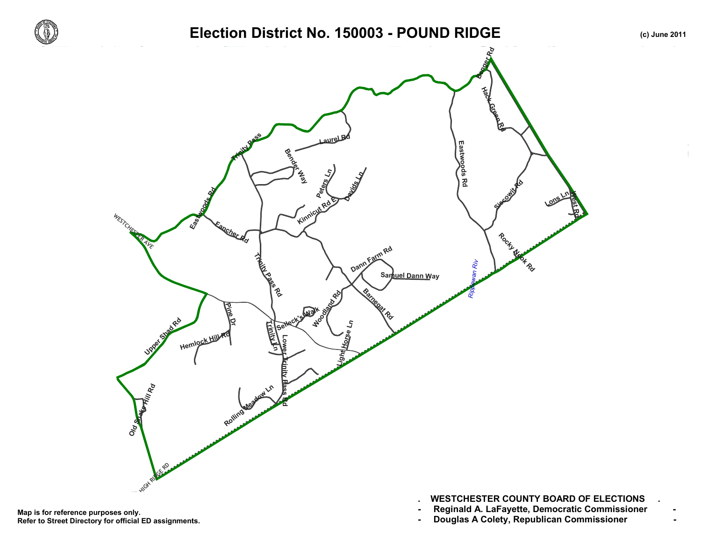

Map is for reference purposes only. Reginald A. LaFayette, Democratic Commissioner<br>Refer to Street Directory for official ED assignments. Douglas A Colety, Republican Com **Refer to Street Directory for official ED assignments.**

- **. WESTCHESTER COUNTY BOARD OF ELECTIONS .**
- 
-